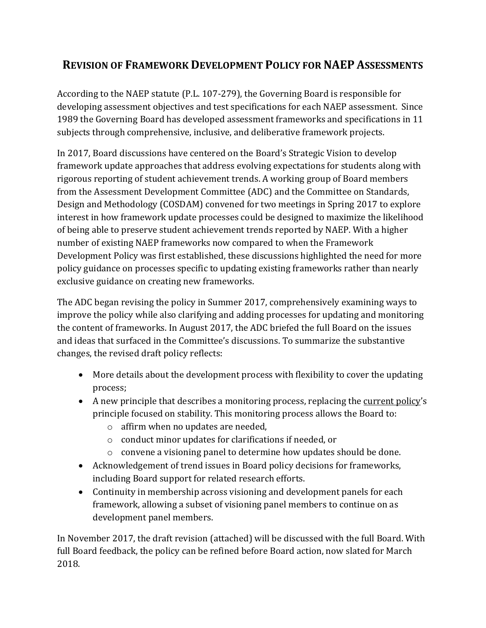# **REVISION OF FRAMEWORK DEVELOPMENT POLICY FOR NAEP ASSESSMENTS**

 developing assessment objectives and test specifications for each NAEP assessment. Since subjects through comprehensive, inclusive, and deliberative framework projects. According to the NAEP statute (P.L. 107-279), the Governing Board is responsible for 1989 the Governing Board has developed assessment frameworks and specifications in 11

 Design and Methodology (COSDAM) convened for two meetings in Spring 2017 to explore policy guidance on processes specific to updating existing frameworks rather than nearly In 2017, Board discussions have centered on the Board's Strategic Vision to develop framework update approaches that address evolving expectations for students along with rigorous reporting of student achievement trends. A working group of Board members from the Assessment Development Committee (ADC) and the Committee on Standards, interest in how framework update processes could be designed to maximize the likelihood of being able to preserve student achievement trends reported by NAEP. With a higher number of existing NAEP frameworks now compared to when the Framework Development Policy was first established, these discussions highlighted the need for more exclusive guidance on creating new frameworks.

 improve the policy while also clarifying and adding processes for updating and monitoring The ADC began revising the policy in Summer 2017, comprehensively examining ways to the content of frameworks. In August 2017, the ADC briefed the full Board on the issues and ideas that surfaced in the Committee's discussions. To summarize the substantive changes, the revised draft policy reflects:

- More details about the development process with flexibility to cover the updating process;
- A new principle that describes a monitoring process, replacing the [current policy](https://www.nagb.org/content/nagb/assets/documents/policies/Framework%20Development.pdf)'s principle focused on stability. This monitoring process allows the Board to:
	- o affirm when no updates are needed,
	- o conduct minor updates for clarifications if needed, or
	- o convene a visioning panel to determine how updates should be done.
- Acknowledgement of trend issues in Board policy decisions for frameworks, including Board support for related research efforts.
- Continuity in membership across visioning and development panels for each framework, allowing a subset of visioning panel members to continue on as development panel members.

 2018. In November 2017, the draft revision (attached) will be discussed with the full Board. With full Board feedback, the policy can be refined before Board action, now slated for March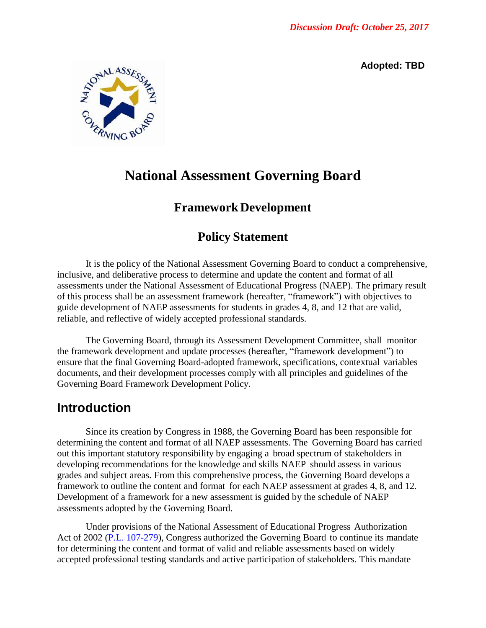**Adopted: TBD** 



# **National Assessment Governing Board**

## **Framework Development**

## **Policy Statement**

 It is the policy of the National Assessment Governing Board to conduct a comprehensive, inclusive, and deliberative process to determine and update the content and format of all assessments under the National Assessment of Educational Progress (NAEP). The primary result of this process shall be an assessment framework (hereafter, "framework") with objectives to guide development of NAEP assessments for students in grades 4, 8, and 12 that are valid, reliable, and reflective of widely accepted professional standards.

 The Governing Board, through its Assessment Development Committee, shall monitor ensure that the final Governing Board-adopted framework, specifications, contextual variables documents, and their development processes comply with all principles and guidelines of the Governing Board Framework Development Policy. the framework development and update processes (hereafter, "framework development") to

## **Introduction**

 determining the content and format of all NAEP assessments. The Governing Board has carried out this important statutory responsibility by engaging a broad spectrum of stakeholders in developing recommendations for the knowledge and skills NAEP should assess in various grades and subject areas. From this comprehensive process, the Governing Board develops a framework to outline the content and format for each NAEP assessment at grades 4, 8, and 12. Development of a framework for a new assessment is guided by the schedule of NAEP assessments adopted by the Governing Board. Since its creation by Congress in 1988, the Governing Board has been responsible for

 Under provisions of the National Assessment of Educational Progress Authorization Act of 2002 [\(P.L. 107-279\)](https://www.nagb.gov/naep/naep-law.html), Congress authorized the Governing Board to continue its mandate for determining the content and format of valid and reliable assessments based on widely accepted professional testing standards and active participation of stakeholders. This mandate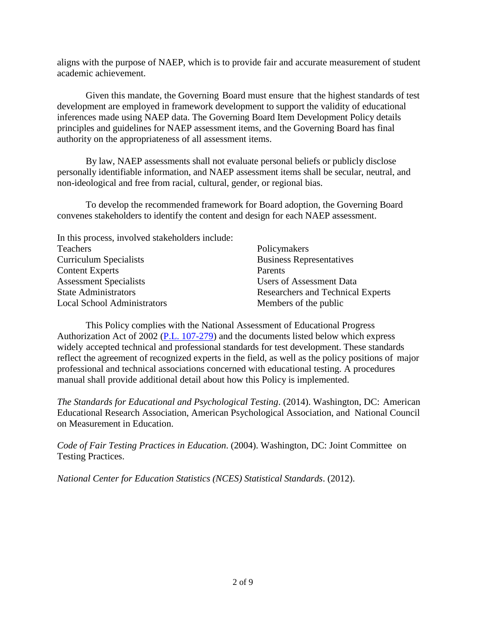aligns with the purpose of NAEP, which is to provide fair and accurate measurement of student academic achievement.

 Given this mandate, the Governing Board must ensure that the highest standards of test development are employed in framework development to support the validity of educational inferences made using NAEP data. The Governing Board Item Development Policy details authority on the appropriateness of all assessment items. principles and guidelines for NAEP assessment items, and the Governing Board has final

 personally identifiable information, and NAEP assessment items shall be secular, neutral, and By law, NAEP assessments shall not evaluate personal beliefs or publicly disclose non-ideological and free from racial, cultural, gender, or regional bias.

To develop the recommended framework for Board adoption, the Governing Board

| convenes stakeholders to identify the content and design for each NAEP assessment. |
|------------------------------------------------------------------------------------|
|                                                                                    |
| Policymakers                                                                       |
| <b>Business Representatives</b>                                                    |
| Parents                                                                            |
| <b>Users of Assessment Data</b>                                                    |
| Researchers and Technical Experts                                                  |
| Members of the public                                                              |
|                                                                                    |

 This Policy complies with the National Assessment of Educational Progress Authorization Act of 2002 [\(P.L. 107-279\)](https://www.nagb.gov/naep/naep-law.html) and the documents listed below which express widely accepted technical and professional standards for test development. These standards reflect the agreement of recognized experts in the field, as well as the policy positions of major professional and technical associations concerned with educational testing. A procedures manual shall provide additional detail about how this Policy is implemented.

 *The Standards for Educational and Psychological Testing*. (2014). Washington, DC: American Educational Research Association, American Psychological Association, and National Council on Measurement in Education.

 *Code of Fair Testing Practices in Education*. (2004). Washington, DC: Joint Committee on Testing Practices.

 *National Center for Education Statistics (NCES) Statistical Standards*. (2012).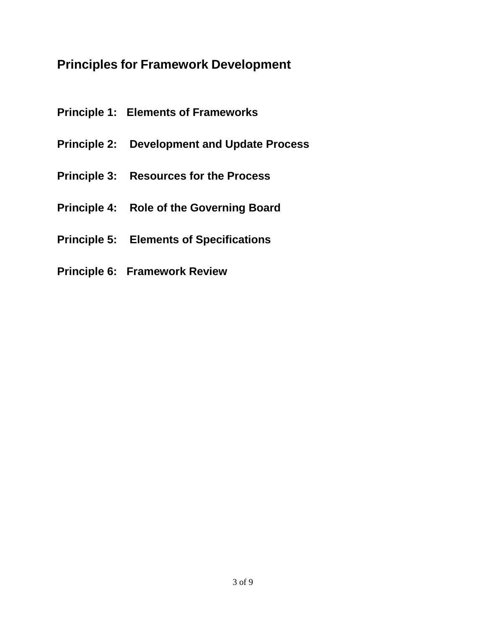# **Principles for Framework Development**

- **Principle 1: Elements of Frameworks**
- **Principle 2: Development and Update Process**
- **Principle 3: Resources for the Process**
- **Principle 4: Role of the Governing Board**
- **Principle 5: Elements of Specifications**
- **Principle 6: Framework Review**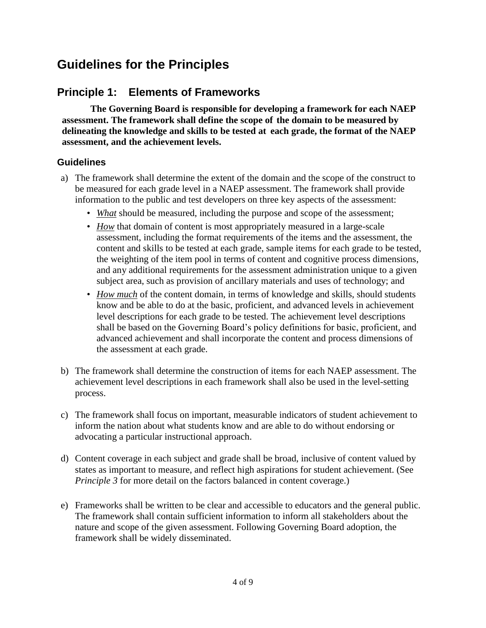# **Guidelines for the Principles**

## **Principle 1: Elements of Frameworks**

 **The Governing Board is responsible for developing a framework for each NAEP assessment. The framework shall define the scope of the domain to be measured by delineating the knowledge and skills to be tested at each grade, the format of the NAEP assessment, and the achievement levels.** 

- a) The framework shall determine the extent of the domain and the scope of the construct to be measured for each grade level in a NAEP assessment. The framework shall provide information to the public and test developers on three key aspects of the assessment:
	- *What* should be measured, including the purpose and scope of the assessment;
	- • *How* that domain of content is most appropriately measured in a large-scale assessment, including the format requirements of the items and the assessment, the and any additional requirements for the assessment administration unique to a given subject area, such as provision of ancillary materials and uses of technology; and content and skills to be tested at each grade, sample items for each grade to be tested, the weighting of the item pool in terms of content and cognitive process dimensions,
	- *How much* of the content domain, in terms of knowledge and skills, should students know and be able to do at the basic, proficient, and advanced levels in achievement level descriptions for each grade to be tested. The achievement level descriptions shall be based on the Governing Board's policy definitions for basic, proficient, and the assessment at each grade. advanced achievement and shall incorporate the content and process dimensions of
- the assessment at each grade.<br>
b) The framework shall determine the construction of items for each NAEP assessment. The achievement level descriptions in each framework shall also be used in the level-setting process.
- c) The framework shall focus on important, measurable indicators of student achievement to inform the nation about what students know and are able to do without endorsing or advocating a particular instructional approach.
- states as important to measure, and reflect high aspirations for student achievement. (See d) Content coverage in each subject and grade shall be broad, inclusive of content valued by *Principle 3* for more detail on the factors balanced in content coverage.)
- e) Frameworks shall be written to be clear and accessible to educators and the general public. The framework shall contain sufficient information to inform all stakeholders about the nature and scope of the given assessment. Following Governing Board adoption, the framework shall be widely disseminated.<br>4 of 9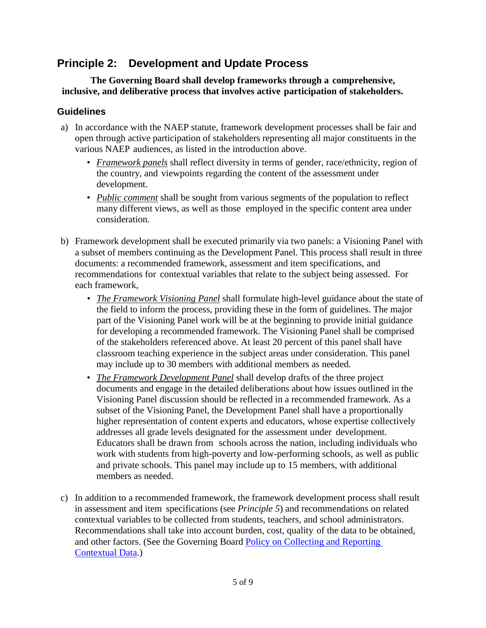#### **Principle 2: Principle 2: Development and Update Process**

 **The Governing Board shall develop frameworks through a comprehensive, inclusive, and deliberative process that involves active participation of stakeholders.** 

- a) In accordance with the NAEP statute, framework development processes shall be fair and open through active participation of stakeholders representing all major constituents in the various NAEP audiences, as listed in the introduction above.
	- • *Framework panels* shall reflect diversity in terms of gender, race/ethnicity, region of the country, and viewpoints regarding the content of the assessment under development.
	- development.<br>
	 *Public comment* shall be sought from various segments of the population to reflect many different views, as well as those employed in the specific content area under consideration.
- b) Framework development shall be executed primarily via two panels: a Visioning Panel with a subset of members continuing as the Development Panel. This process shall result in three documents: a recommended framework, assessment and item specifications, and recommendations for contextual variables that relate to the subject being assessed. For each framework,
	- *The Framework Visioning Panel* shall formulate high-level guidance about the state of part of the Visioning Panel work will be at the beginning to provide initial guidance for developing a recommended framework. The Visioning Panel shall be comprised of the stakeholders referenced above. At least 20 percent of this panel shall have classroom teaching experience in the subject areas under consideration. This panel may include up to 30 members with additional members as needed. the field to inform the process, providing these in the form of guidelines. The major
	- *The Framework Development Panel* shall develop drafts of the three project documents and engage in the detailed deliberations about how issues outlined in the subset of the Visioning Panel, the Development Panel shall have a proportionally addresses all grade levels designated for the assessment under development. Educators shall be drawn from schools across the nation, including individuals who work with students from high-poverty and low-performing schools, as well as public members as needed. Visioning Panel discussion should be reflected in a recommended framework. As a higher representation of content experts and educators, whose expertise collectively and private schools. This panel may include up to 15 members, with additional
- members as needed.<br>
c) In addition to a recommended framework, the framework development process shall result contextual variables to be collected from students, teachers, and school administrators. Recommendations shall take into account burden, cost, quality of the data to be obtained, and other factors. (See the Governing Board Policy on Collecting and Reporting in assessment and item specifications (see *Principle 5*) and recommendations on related [Contextual Data.](https://www.nagb.org/content/nagb/assets/documents/policies/collection-report-backg-data.pdf))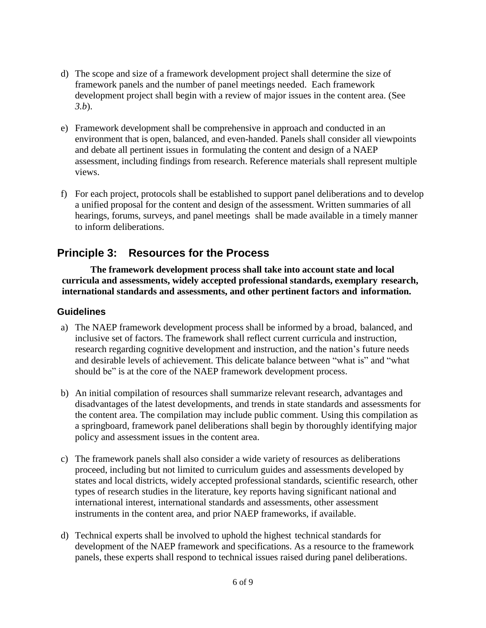- d) The scope and size of a framework development project shall determine the size of development project shall begin with a review of major issues in the content area. (See framework panels and the number of panel meetings needed. Each framework *3.b*).
- e) Framework development shall be comprehensive in approach and conducted in an and debate all pertinent issues in formulating the content and design of a NAEP assessment, including findings from research. Reference materials shall represent multiple views. environment that is open, balanced, and even-handed. Panels shall consider all viewpoints
- views.<br>
f) For each project, protocols shall be established to support panel deliberations and to develop a unified proposal for the content and design of the assessment. Written summaries of all hearings, forums, surveys, and panel meetings shall be made available in a timely manner to inform deliberations.

#### **Principle 3: Resources for the Process**

 **The framework development process shall take into account state and local curricula and assessments, widely accepted professional standards, exemplary research, international standards and assessments, and other pertinent factors and information.** 

- a) The NAEP framework development process shall be informed by a broad, balanced, and inclusive set of factors. The framework shall reflect current curricula and instruction, research regarding cognitive development and instruction, and the nation's future needs and desirable levels of achievement. This delicate balance between "what is" and "what should be" is at the core of the NAEP framework development process.
- b) An initial compilation of resources shall summarize relevant research, advantages and disadvantages of the latest developments, and trends in state standards and assessments for the content area. The compilation may include public comment. Using this compilation as a springboard, framework panel deliberations shall begin by thoroughly identifying major policy and assessment issues in the content area.
- policy and assessment issues in the content area.<br>c) The framework panels shall also consider a wide variety of resources as deliberations proceed, including but not limited to curriculum guides and assessments developed by states and local districts, widely accepted professional standards, scientific research, other international interest, international standards and assessments, other assessment instruments in the content area, and prior NAEP frameworks, if available. types of research studies in the literature, key reports having significant national and
- d) Technical experts shall be involved to uphold the highest technical standards for development of the NAEP framework and specifications. As a resource to the framework panels, these experts shall respond to technical issues raised during panel deliberations.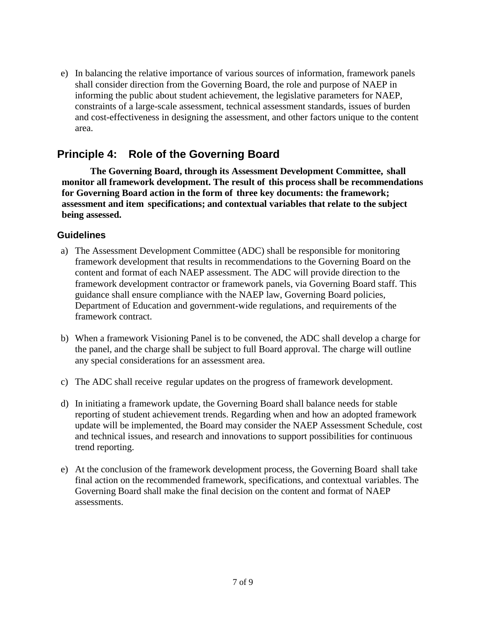e) In balancing the relative importance of various sources of information, framework panels shall consider direction from the Governing Board, the role and purpose of NAEP in informing the public about student achievement, the legislative parameters for NAEP, constraints of a large-scale assessment, technical assessment standards, issues of burden and cost-effectiveness in designing the assessment, and other factors unique to the content area.

#### **Principle 4: Role of the Governing Board**

 **The Governing Board, through its Assessment Development Committee, shall monitor all framework development. The result of this process shall be recommendations for Governing Board action in the form of three key documents: the framework; assessment and item specifications; and contextual variables that relate to the subject being assessed.** 

- a) The Assessment Development Committee (ADC) shall be responsible for monitoring framework development that results in recommendations to the Governing Board on the content and format of each NAEP assessment. The ADC will provide direction to the framework development contractor or framework panels, via Governing Board staff. This guidance shall ensure compliance with the NAEP law, Governing Board policies, Department of Education and government-wide regulations, and requirements of the framework contract.
- the panel, and the charge shall be subject to full Board approval. The charge will outline any special considerations for an assessment area. b) When a framework Visioning Panel is to be convened, the ADC shall develop a charge for
- any special considerations for an assessment area.<br>c) The ADC shall receive regular updates on the progress of framework development.
- d) In initiating a framework update, the Governing Board shall balance needs for stable update will be implemented, the Board may consider the NAEP Assessment Schedule, cost reporting of student achievement trends. Regarding when and how an adopted framework and technical issues, and research and innovations to support possibilities for continuous trend reporting.
- e) At the conclusion of the framework development process, the Governing Board shall take final action on the recommended framework, specifications, and contextual variables. The assessments. Governing Board shall make the final decision on the content and format of NAEP assessments.<br>
7 of 9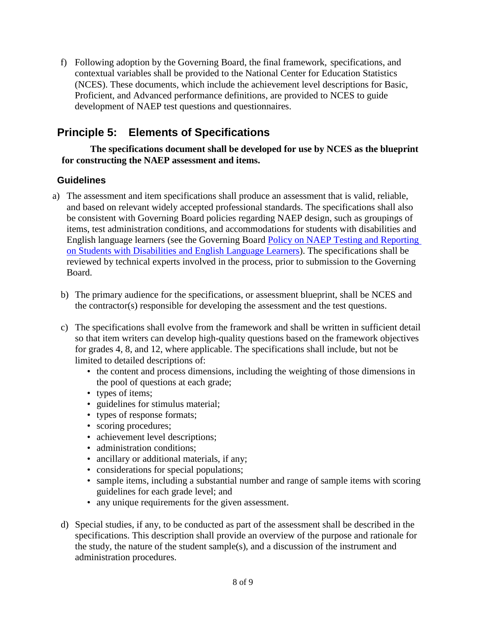f) Following adoption by the Governing Board, the final framework, specifications, and contextual variables shall be provided to the National Center for Education Statistics (NCES). These documents, which include the achievement level descriptions for Basic, Proficient, and Advanced performance definitions, are provided to NCES to guide development of NAEP test questions and questionnaires.

#### **Principle 5: Elements of Specifications**

 **The specifications document shall be developed for use by NCES as the blueprint for constructing the NAEP assessment and items.** 

- a) The assessment and item specifications shall produce an assessment that is valid, reliable, and based on relevant widely accepted professional standards. The specifications shall also be consistent with Governing Board policies regarding NAEP design, such as groupings of items, test administration conditions, and accommodations for students with disabilities and [on Students with Disabilities and English Language Learners\)](https://www.nagb.org/content/nagb/assets/documents/policies/naep_testandreport_studentswithdisabilities.pdf). The specifications shall be reviewed by technical experts involved in the process, prior to submission to the Governing English language learners (see the Governing Board [Policy on NAEP Testing and Reporting](https://www.nagb.org/content/nagb/assets/documents/policies/naep_testandreport_studentswithdisabilities.pdf)  Board.
	- b) The primary audience for the specifications, or assessment blueprint, shall be NCES and the contractor(s) responsible for developing the assessment and the test questions.
	- c) The specifications shall evolve from the framework and shall be written in sufficient detail so that item writers can develop high-quality questions based on the framework objectives for grades 4, 8, and 12, where applicable. The specifications shall include, but not be limited to detailed descriptions of:
		- • the content and process dimensions, including the weighting of those dimensions in the pool of questions at each grade;
		- types of items;
		- guidelines for stimulus material;
		- types of response formats;<br>• scoring procedures;
		- scoring procedures;
		- achievement level descriptions;<br>• administration conditions;
		- administration conditions:
		- ancillary or additional materials, if any;
		- considerations for special populations;
		- considerations for special populations;<br>• sample items, including a substantial number and range of sample items with scoring guidelines for each grade level; and
		- any unique requirements for the given assessment.
	- d) Special studies, if any, to be conducted as part of the assessment shall be described in the specifications. This description shall provide an overview of the purpose and rationale for administration procedures. the study, the nature of the student sample(s), and a discussion of the instrument and